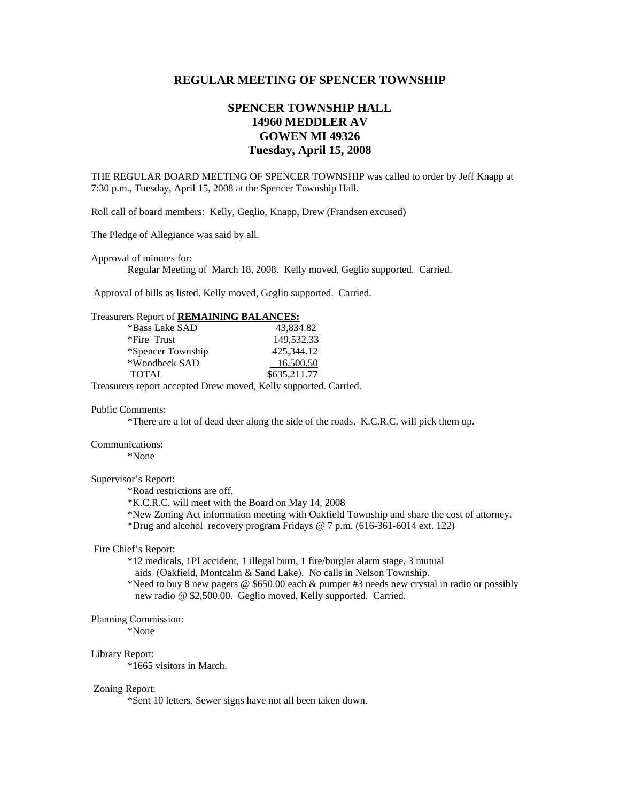## **REGULAR MEETING OF SPENCER TOWNSHIP**

# **SPENCER TOWNSHIP HALL 14960 MEDDLER AV GOWEN MI 49326 Tuesday, April 15, 2008**

THE REGULAR BOARD MEETING OF SPENCER TOWNSHIP was called to order by Jeff Knapp at 7:30 p.m., Tuesday, April 15, 2008 at the Spencer Township Hall.

Roll call of board members: Kelly, Geglio, Knapp, Drew (Frandsen excused)

The Pledge of Allegiance was said by all.

Approval of minutes for:

Regular Meeting of March 18, 2008. Kelly moved, Geglio supported. Carried.

Approval of bills as listed. Kelly moved, Geglio supported. Carried.

## Treasurers Report of **REMAINING BALANCES:**

| *Bass Lake SAD    | 43,834.82    |
|-------------------|--------------|
| *Fire Trust       | 149,532.33   |
| *Spencer Township | 425,344.12   |
| *Woodbeck SAD     | 16,500.50    |
| <b>TOTAL</b>      | \$635,211.77 |

Treasurers report accepted Drew moved, Kelly supported. Carried.

#### Public Comments:

\*There are a lot of dead deer along the side of the roads. K.C.R.C. will pick them up.

#### Communications:

\*None

## Supervisor's Report:

\*Road restrictions are off.

\*K.C.R.C. will meet with the Board on May 14, 2008

 \*New Zoning Act information meeting with Oakfield Township and share the cost of attorney. \*Drug and alcohol recovery program Fridays  $\omega$  7 p.m. (616-361-6014 ext. 122)

### Fire Chief's Report:

 \*12 medicals, 1PI accident, 1 illegal burn, 1 fire/burglar alarm stage, 3 mutual aids (Oakfield, Montcalm & Sand Lake). No calls in Nelson Township. \*Need to buy 8 new pagers @ \$650.00 each & pumper #3 needs new crystal in radio or possibly new radio @ \$2,500.00. Geglio moved, Kelly supported. Carried.

#### Planning Commission:

\*None

#### Library Report:

\*1665 visitors in March.

#### Zoning Report:

\*Sent 10 letters. Sewer signs have not all been taken down.